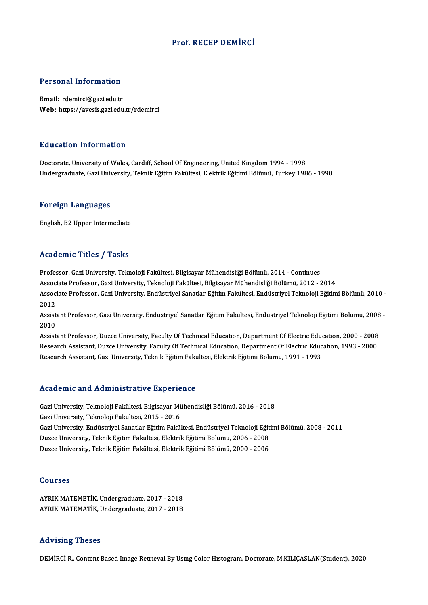## Prof. RECEP DEMİRCİ

## Personal Information

Email: rdemirci@gazi.edu.tr Web: https://avesis.gazi.edu.tr/rdemirci

## Education Information

Doctorate, University of Wales, Cardiff, School Of Engineering, United Kingdom 1994 - 1998 Undergraduate, Gazi University, Teknik Eğitim Fakültesi, Elektrik Eğitimi Bölümü, Turkey 1986 - 1990

### Foreign Languages

English, B2 Upper Intermediate

## Academic Titles / Tasks

Professor, Gazi University, Teknoloji Fakültesi, Bilgisayar Mühendisliği Bölümü, 2014 - Continues Associate Professor, Gazi University, Teknoloji Fakültesi, Bilgisayar Mühendisliği Bölümü, 2012 - 2014 Professor, Gazi University, Teknoloji Fakültesi, Bilgisayar Mühendisliği Bölümü, 2014 - Continues<br>Associate Professor, Gazi University, Teknoloji Fakültesi, Bilgisayar Mühendisliği Bölümü, 2012 - 2014<br>Associate Professor, Assoc<br>Assoc<br>2012<br>Assist Associate Professor, Gazi University, Endüstriyel Sanatlar Eğitim Fakültesi, Endüstriyel Teknoloji Eğitimi Bölümü, 2010 -<br>2012<br>Assistant Professor, Gazi University, Endüstriyel Sanatlar Eğitim Fakültesi, Endüstriyel Teknol

2012<br>Assist<br>2010 Assistant Professor, Gazi University, Endüstriyel Sanatlar Eğitim Fakültesi, Endüstriyel Teknoloji Eğitimi Bölümü, 2008<br>2010<br>Assistant Professor, Duzce University, Faculty Of Technıcal Education, Department Of Electric Edu

2010<br>Assistant Professor, Duzce University, Faculty Of Technıcal Education, Department Of Electric Education, 2000 - 2008<br>Research Assistant, Duzce University, Faculty Of Technical Education, Department Of Electric Educati Research Assistant, Gazi University, Teknik Eğitim Fakültesi, Elektrik Eğitimi Bölümü, 1991 - 1993

## Academic and Administrative Experience

Academic and Administrative Experience<br>Gazi University, Teknoloji Fakültesi, Bilgisayar Mühendisliği Bölümü, 2016 - 2018<br>Cari University, Teknoloji Fakültesi, 2015 - 2016 Gazi University, Teknoloji Fakültesi, Bilgisayar Mü<br>Gazi University, Teknoloji Fakültesi, Bilgisayar Mü<br>Gazi University, Teknoloji Fakültesi, 2015 - 2016 Gazi University, Teknoloji Fakültesi, Bilgisayar Mühendisliği Bölümü, 2016 - 2018<br>Gazi University, Teknoloji Fakültesi, 2015 - 2016<br>Gazi University, Endüstriyel Sanatlar Eğitim Fakültesi, Endüstriyel Teknoloji Eğitimi Bölü Gazi University, Teknoloji Fakültesi, 2015 - 2016<br>Gazi University, Endüstriyel Sanatlar Eğitim Fakültesi, Endüstriyel Teknoloji Eğit<br>Duzce University, Teknik Eğitim Fakültesi, Elektrik Eğitimi Bölümü, 2006 - 2008<br>Duzce Uni Gazi University, Endüstriyel Sanatlar Eğitim Fakültesi, Endüstriyel Teknoloji Eğit<br>Duzce University, Teknik Eğitim Fakültesi, Elektrik Eğitimi Bölümü, 2006 - 2008<br>Duzce University, Teknik Eğitim Fakültesi, Elektrik Eğitimi Duzce University, Teknik Eğitim Fakültesi, Elektrik Eğitimi Bölümü, 2000 - 2006<br>Courses

Courses<br>AYRIK MATEMETİK, Undergraduate, 2017 - 2018<br>AYRIK MATEMATİK, Undergraduate, 2017 - 2019 aoarses<br>AYRIK MATEMETİK, Undergraduate, 2017 - 2018<br>AYRIK MATEMATİK, Undergraduate, 2017 - 2018 AYRIK MATEMATIK, Undergraduate, 2017 - 2018<br>Advising Theses

DEMİRCİ R., Content Based Image Retrieval By Using Color Histogram, Doctorate, M.KILIÇASLAN(Student), 2020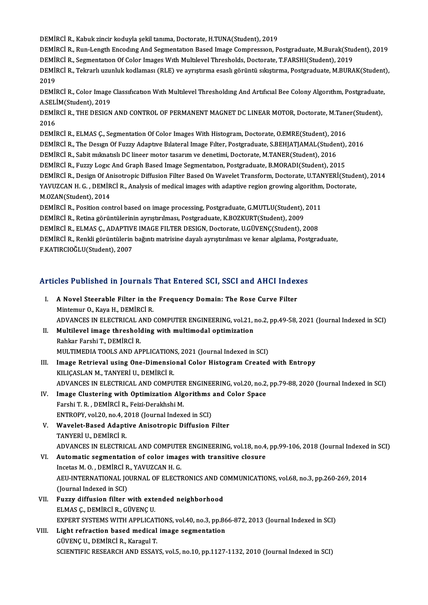DEMİRCİ R., Kabuk zincir koduyla şekil tanıma, Doctorate, H.TUNA(Student), 2019

DEMİRCİ R., Run-Length Encoding And Segmentation Based Image Compression, Postgraduate, M.Burak(Student), 2019 DEMİRCİ R., Kabuk zincir koduyla şekil tanıma, Doctorate, H.TUNA(Student), 2019<br>DEMİRCİ R., Run-Length Encoding And Segmentation Based Image Compression, Postgraduate, M.Burak(Stud<br>DEMİRCİ R., Segmentation Of Color Images DEMİRCİ R., Run-Length Encodıng And Segmentation Based Image Compression, Postgraduate, M.Burak(Student), 2019<br>DEMİRCİ R., Segmentation Of Color Images With Multilevel Thresholds, Doctorate, T.FARSHI(Student), 2019<br>DEMİRCİ

**DEMI**<br>DEMI<br>2019<br>DEMI DEMİRCİ R., Tekrarlı uzunluk kodlaması (RLE) ve ayrıştırma esaslı görüntü sıkıştırma, Postgraduate, M.BURAK(Student<br>2019<br>DEMİRCİ R., Color Image Classıfıcatıon Wıth Multılevel Thresholdıng And Artıfıcıal Bee Colony Algorıt

2019<br>DEMİRCİ R., Color Image<br>A.SELİM(Student), 2019<br>DEMİRCİ R., THE DESICN DEMİRCİ R., Color Image Classıfication With Multilevel Thresholding And Artificial Bee Colony Algorithm, Postgraduate<br>A.SELİM(Student), 2019<br>DEMİRCİ R., THE DESIGN AND CONTROL OF PERMANENT MAGNET DC LINEAR MOTOR, Doctorate

A.SELİM(Student), 2019<br>DEMİRCİ R., THE DESIGN AND CONTROL OF PERMANENT MAGNET DC LINEAR MOTOR, Doctorate, M.Taner(Student),<br>2016 DEMİRCİ R., THE DESIGN AND CONTROL OF PERMANENT MAGNET DC LINEAR MOTOR, Doctorate, M.Tane<br>2016<br>DEMİRCİ R., ELMAS Ç., Segmentation Of Color Images With Histogram, Doctorate, O.EMRE(Student), 2016<br>DEMİRCİ B. The Design Of Eu 2016<br>DEMİRCİ R., ELMAS Ç., Segmentation Of Color Images With Histogram, Doctorate, O.EMRE(Student), 2016<br>DEMİRCİ R., The Desıgn Of Fuzzy Adaptıve Bılateral Image Fılter, Postgraduate, S.BEHJATJAMAL(Student), 2016<br>DEMİRCİ R

DEMİRCİ R., ELMAS Ç., Segmentation Of Color Images With Histogram, Doctorate, O.EMRE(Student), 20<br>DEMİRCİ R., The Design Of Fuzzy Adaptive Bilateral Image Filter, Postgraduate, S.BEHJATJAMAL(Student)<br>DEMİRCİ R., Sabit mikn DEMİRCİ R., The Desıgn Of Fuzzy Adaptıve Bılateral Image Fılter, Postgraduate, S.BEHJATJAMAL(Student), 2016<br>DEMİRCİ R., Sabit mıknatıslı DC lineer motor tasarım ve denetimi, Doctorate, M.TANER(Student), 2016<br>DEMİRCİ R., Fu

DEMİRCİ R., Sabit mıknatıslı DC lineer motor tasarım ve denetimi, Doctorate, M.TANER(Student), 2016<br>DEMİRCİ R., Fuzzy Logıc And Graph Based Image Segmentation, Postgraduate, B.MORADI(Student), 2015<br>DEMİRCİ R., Design Of An

DEMİRCİ R., Fuzzy Logıc And Graph Based Image Segmentation, Postgraduate, B.MORADI(Student), 2015<br>DEMİRCİ R., Design Of Anisotropic Diffusion Filter Based On Wavelet Transform, Doctorate, U.TANYERİ(Stude<br>YAVUZCAN H. G. , D DEMIRCI R., Design Of Ar<br>YAVUZCAN H. G. , DEMIR<br>M.OZAN(Student), 2014<br>PEMIRCI B. Bosition son YAVUZCAN H. G., DEMİRCİ R., Analysis of medical images with adaptive region growing algorithm, Doctorate,<br>M.OZAN(Student), 2014<br>DEMİRCİ R., Position control based on image processing, Postgraduate, G.MUTLU(Student), 2011<br>D

M.OZAN(Student), 2014<br>DEMİRCİ R., Position control based on image processing, Postgraduate, G.MUTLU(Student),<br>DEMİRCİ R., Retina görüntülerinin ayrıştırılması, Postgraduate, K.BOZKURT(Student), 2009<br>DEMİRCİ R., ELMAS C. AD DEMİRCİ R., Position control based on image processing, Postgraduate, G.MUTLU(Student), 2011<br>DEMİRCİ R., Retina görüntülerinin ayrıştırılması, Postgraduate, K.BOZKURT(Student), 2009<br>DEMİRCİ R., ELMAS Ç., ADAPTIVE IMAGE FIL

DEMİRCİ R., Retina görüntülerinin ayrıştırılması, Postgraduate, K.BOZKURT(Student), 2009<br>DEMİRCİ R., ELMAS Ç., ADAPTIVE IMAGE FILTER DESIGN, Doctorate, U.GÜVENÇ(Student), 2008<br>DEMİRCİ R., Renkli görüntülerin bağıntı matris DEMİRCİ R., ELMAS Ç., ADAPTIV!<br>DEMİRCİ R., Renkli görüntülerin<br>F.KATIRCIOĞLU(Student), 2007

# r.KATIRCIOGLU(Student), 2007<br>Articles Published in Journals That Entered SCI, SSCI and AHCI Indexes

rticles Published in Journals That Entered SCI, SSCI and AHCI Index<br>I. A Novel Steerable Filter in the Frequency Domain: The Rose Curve Filter<br>Mintemur O. Kava H. DEMinci B. I. A Novel Steerable Filter in the Frequency Domain: The Rose Curve Filter<br>Mintemur O., Kaya H., DEMİRCİ R. A Novel Steerable Filter in the Frequency Domain: The Rose Curve Filter<br>Mintemur O., Kaya H., DEMİRCİ R.<br>ADVANCES IN ELECTRICAL AND COMPUTER ENGINEERING, vol.21, no.2, pp.49-58, 2021 (Journal Indexed in SCI)<br>Multilevel ima Mintemur O., Kaya H., DEMİRCİ R.<br>ADVANCES IN ELECTRICAL AND COMPUTER ENGINEERING, vol.21, 1<br>II. Multilevel image thresholding with multimodal optimization<br>Poblar Farshi T. DEMİRCİ P. Multilevel image thresholding with multimodal optimization<br>Rahkar Farshi T., DEMİRCİ R. Multilevel image thresholding with multimodal optimization<br>Rahkar Farshi T., DEMİRCİ R.<br>MULTIMEDIA TOOLS AND APPLICATIONS, 2021 (Journal Indexed in SCI)<br>Image Betrievel veing One Dimensional Celer Histogram Creeted III. Image Retrieval using One-Dimensional Color Histogram Created with Entropy KILICASLAN M., TANYERI U., DEMIRCI R. MULTIMEDIA TOOLS AND APPLICATION.<br>Image Retrieval using One-Dimensio<br>KILIÇASLAN M., TANYERİ U., DEMİRCİ R.<br>ADVANCES IN ELECTRICAL AND COMBU ADVANCES IN ELECTRICAL AND COMPUTER ENGINEERING, vol.20, no.2, pp.79-88, 2020 (Journal Indexed in SCI) KILIÇASLAN M., TANYERİ U., DEMİRCİ R.<br>ADVANCES IN ELECTRICAL AND COMPUTER ENGINEERING, vol.20, no.2,<br>IV. Image Clustering with Optimization Algorithms and Color Space<br>Farshi T. B., DEMİRCİ B. Fairi Darakhabi M. ADVANCES IN ELECTRICAL AND COMPUTER<br>Image Clustering with Optimization Alg<br>Farshi T. R. , DEMİRCİ R., Feizi-Derakhshi M.<br>ENTROPY Yol 20 no.4, 2018 (Journal Indov Image Clustering with Optimization Algorithms<br>Farshi T. R. , DEMİRCİ R., Feizi-Derakhshi M.<br>ENTROPY, vol.20, no.4, 2018 (Journal Indexed in SCI)<br>Wayelet Based Adaptive Anisotronis Diffusion I Farshi T. R. , DEMİRCİ R., Feizi-Derakhshi M.<br>ENTROPY, vol.20, no.4, 2018 (Journal Indexed in SCI)<br>V. Wavelet-Based Adaptive Anisotropic Diffusion Filter<br>TANYERİ U. DEMİRCİ R. ENTROPY, vol.20, no.4, 2018 (Journal Indexed in SCI) Wavelet-Based Adaptive Anisotropic Diffusion Filter<br>TANYERİ U., DEMİRCİ R.<br>ADVANCES IN ELECTRICAL AND COMPUTER ENGINEERING, vol.18, no.4, pp.99-106, 2018 (Journal Indexed in SCI)<br>Automatis segmentation of seler images with TANYERİ U., DEMİRCİ R.<br>ADVANCES IN ELECTRICAL AND COMPUTER ENGINEERING, vol.18, no.4<br>VI. Automatic segmentation of color images with transitive closure<br>Inestes M.O., DEMİRCİ B. VAVUZCAN H.C. ADVANCES IN ELECTRICAL AND COMPUTE<br>Automatic segmentation of color imag<br>Incetas M. O. , DEMIRCI R., YAVUZCAN H. G.<br>AEU INTERNATIONAL JOURNAL OF ELECTI VI. Automatic segmentation of color images with transitive closure<br>Incetas M. O., DEMIRCI R., YAVUZCAN H. G.<br>AEU-INTERNATIONAL JOURNAL OF ELECTRONICS AND COMMUNICATIONS, vol.68, no.3, pp.260-269, 2014<br>(Journal Indexed in S Incetas M.O., DEMIRCI R., YAVUZCAN H.G. AEU-INTERNATIONAL JOURNAL OF ELECTRONICS AND CONTROLL INCOLLET SUPPOSE IN SCIPTUME IN FURNATION FUNAL CONTROLLET AND RELATION FUNAL CONTROLLET AND RELATION FUNAL CONTROLLET AND RELATION FUNAL CONTROLLET AND RELATION FUNAL (Journal Indexed in SCI)<br>Fuzzy diffusion filter with exte<br>ELMAS Ç., DEMİRCİ R., GÜVENÇ U.<br>EYPERT SYSTEMS WITH APPLICA? Fuzzy diffusion filter with extended neighborhood<br>ELMAS Ç., DEMİRCİ R., GÜVENÇ U.<br>EXPERT SYSTEMS WITH APPLICATIONS, vol.40, no.3, pp.866-872, 2013 (Journal Indexed in SCI)<br>Light refrection based medical image essmentation ELMAS Ç., DEMİRCİ R., GÜVENÇ U.<br>EXPERT SYSTEMS WITH APPLICATIONS, vol.40, no.3, pp.86<br>VIII. Light refraction based medical image segmentation<br>GÜVENC U., DEMİRCİ R., Karagul T. EXPERT SYSTEMS WITH APPLICAT<br>Light refraction based medical<br>GÜVENÇ U., DEMİRCİ R., Karagul T.<br>SCIENTIEIC BESEARCH AND ESSAY SCIENTIFIC RESEARCH AND ESSAYS, vol.5, no.10, pp.1127-1132, 2010 (Journal Indexed in SCI)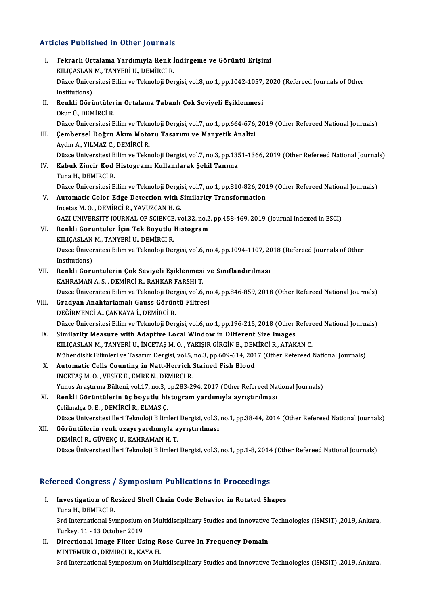# Articles Published in Other Journals

| <b>Articles Published in Other Journals</b> |                                                                                                                                                                                  |
|---------------------------------------------|----------------------------------------------------------------------------------------------------------------------------------------------------------------------------------|
| L.                                          | Tekrarlı Ortalama Yardımıyla Renk İndirgeme ve Görüntü Erişimi<br>KILIÇASLAN M., TANYERİ U., DEMİRCİ R.                                                                          |
|                                             | Düzce Üniversitesi Bilim ve Teknoloji Dergisi, vol.8, no.1, pp.1042-1057, 2020 (Refereed Journals of Other<br>Institutions)                                                      |
| Н.                                          | Renkli Görüntülerin Ortalama Tabanlı Çok Seviyeli Eşiklenmesi<br>Okur Ü, DEMİRCİ R.                                                                                              |
| Ш.                                          | Düzce Üniversitesi Bilim ve Teknoloji Dergisi, vol.7, no.1, pp.664-676, 2019 (Other Refereed National Journals)<br>Çembersel Doğru Akım Motoru Tasarımı ve Manyetik Analizi      |
|                                             | Aydın A., YILMAZ C., DEMİRCİ R.<br>Düzce Üniversitesi Bilim ve Teknoloji Dergisi, vol.7, no.3, pp.1351-1366, 2019 (Other Refereed National Journals)                             |
| IV.                                         | Kabuk Zincir Kod Histogramı Kullanılarak Şekil Tanıma<br>Tuna H., DEMIRCI R.                                                                                                     |
| V.                                          | Düzce Üniversitesi Bilim ve Teknoloji Dergisi, vol.7, no.1, pp.810-826, 2019 (Other Refereed National Journals)<br>Automatic Color Edge Detection with Similarity Transformation |
|                                             | Incetas M.O., DEMIRCI R., YAVUZCAN H.G.<br>GAZI UNIVERSITY JOURNAL OF SCIENCE, vol.32, no.2, pp.458-469, 2019 (Journal Indexed in ESCI)                                          |
| VI.                                         | Renkli Görüntüler İçin Tek Boyutlu Histogram<br>KILIÇASLAN M., TANYERİ U., DEMİRCİ R.                                                                                            |
|                                             | Düzce Üniversitesi Bilim ve Teknoloji Dergisi, vol.6, no.4, pp.1094-1107, 2018 (Refereed Journals of Other<br>Institutions)                                                      |
| VII.                                        | Renkli Görüntülerin Çok Seviyeli Eşiklenmesi ve Sınıflandırılması<br>KAHRAMAN A. S., DEMİRCİ R., RAHKAR FARSHI T.                                                                |
| VIII.                                       | Düzce Üniversitesi Bilim ve Teknoloji Dergisi, vol.6, no.4, pp.846-859, 2018 (Other Refereed National Journals)<br>Gradyan Anahtarlamalı Gauss Görüntü Filtresi                  |
|                                             | DEĞİRMENCİ A., ÇANKAYA İ., DEMİRCİ R.<br>Düzce Üniversitesi Bilim ve Teknoloji Dergisi, vol.6, no.1, pp.196-215, 2018 (Other Refereed National Journals)                         |
| IX.                                         | Similarity Measure with Adaptive Local Window in Different Size Images<br>KILIÇASLAN M., TANYERİ U., İNCETAŞ M. O., YAKIŞIR GİRGİN B., DEMİRCİ R., ATAKAN C.                     |
|                                             | Mühendislik Bilimleri ve Tasarım Dergisi, vol.5, no.3, pp.609-614, 2017 (Other Refereed National Journals)                                                                       |
| Х.                                          | Automatic Cells Counting in Natt-Herrick Stained Fish Blood<br>INCETAȘ M. O., VESKE E., EMRE N., DEMIRCI R.                                                                      |
| XI.                                         | Yunus Araştırma Bülteni, vol.17, no.3, pp.283-294, 2017 (Other Refereed National Journals)<br>Renkli Görüntülerin üç boyutlu histogram yardımıyla ayrıştırılması                 |
|                                             | Çeliknalça O. E., DEMİRCİ R., ELMAS Ç.<br>Düzce Üniversitesi İleri Teknoloji Bilimleri Dergisi, vol.3, no.1, pp.38-44, 2014 (Other Refereed National Journals)                   |
| XII.                                        | Görüntülerin renk uzayı yardımıyla ayrıştırılması<br>DEMİRCİ R., GÜVENÇ U., KAHRAMAN H.T.                                                                                        |
|                                             | Düzce Üniversitesi İleri Teknoloji Bilimleri Dergisi, vol.3, no.1, pp.1-8, 2014 (Other Refereed National Journals)                                                               |

## Refereed Congress / Symposium Publications in Proceedings

- I. Investigation of Resized Shell Chain Code Behavior in Rotated Shapes Tuna H., DEMİRCİ R. Investigation of Resized Shell Chain Code Behavior in Rotated Shapes<br>Tuna H., DEMİRCİ R.<br>3rd International Symposium on Multidisciplinary Studies and Innovative Technologies (ISMSIT) ,2019, Ankara,<br>Turkay 11, 12 October 20 Tuna H., DEMİRCİ R.<br>3rd International Symposium<br>Turkey, 11 - 13 October 2019<br>Dinastional Imaga Eiltar Ha Turkey, 11 - 13 October 2019<br>II. Directional Image Filter Using Rose Curve In Frequency Domain
- MİNTEMURÖ.,DEMİRCİR.,KAYAH. 3rd International Symposium on Multidisciplinary Studies and Innovative Technologies (ISMSIT) ,2019, Ankara,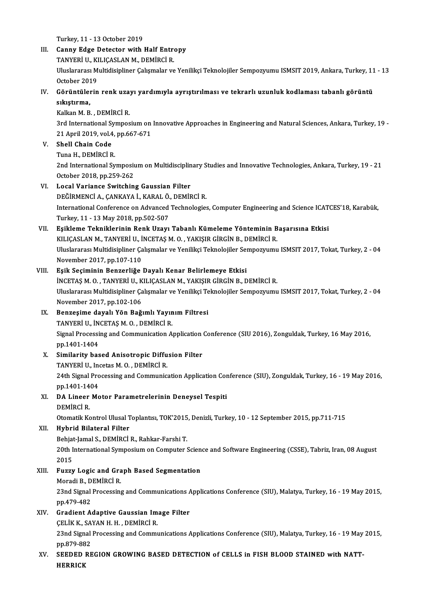Turkey, 11 - 13 October 2019

III. Canny Edge Detector with Half Entropy Turkey, 11 - 13 October 2019<br>Canny Edge Detector with Half Entre<br>TANYERİ U., KILIÇASLAN M., DEMİRCİ R.<br>Hivelararesi Multidisinliner Calismalar ve Uluslararası Multidisipliner Çalışmalar ve Yenilikçi Teknolojiler Sempozyumu ISMSIT 2019, Ankara, Turkey, 11 - 13<br>October 2019 TANYERİ U., KI<br>Uluslararası M<br>October 2019<br>Görüntülerin Uluslararası Multidisipliner Çalışmalar ve Yenilikçi Teknolojiler Sempozyumu ISMSIT 2019, Ankara, Turkey, 11<br>October 2019<br>IV. Görüntülerin renk uzayı yardımıyla ayrıştırılması ve tekrarlı uzunluk kodlaması tabanlı görüntü<br> October 201<br>Görüntülen<br>sıkıştırma,<br><sup>Kolkon M. B</sup> Görüntülerin renk uza:<br>sıkıştırma,<br>Kalkan M. B. , DEMİRCİ R.<br><sup>2rd International Sumnos</sup> sıkıştırma,<br>Kalkan M. B. , DEMİRCİ R.<br>3rd International Symposium on Innovative Approaches in Engineering and Natural Sciences, Ankara, Turkey, 19 -Kalkan M. B. , DEMİRCİ R.<br>3rd International Symposium on<br>21 April 2019, vol.4, pp.667-671<br>Shall Chain Cada V. Shell Chain Code<br>Tuna H. DEMIRCI R. 21 April 2019, vol.4,<br>Shell Chain Code<br>Tuna H., DEMİRCİ R.<br>2nd International Sv 2nd International Symposium on Multidisciplinary Studies and Innovative Technologies, Ankara, Turkey, 19 - 21 October 2018,pp.259-262 VI. Local Variance Switching Gaussian Filter October 2018, pp.259-262<br>Local Variance Switching Gaussian Filter<br>DEĞİRMENCİ A., ÇANKAYA İ., KARAL Ö., DEMİRCİ R.<br>International Conference on Advanced Technologies International Conference on Advanced Technologies, Computer Engineering and Science ICATCES'18, Karabük,<br>Turkey, 11 - 13 May 2018, pp.502-507 DEĞİRMENCİ A., ÇANKAYA İ., KARAL Ö.<br>International Conference on Advanced<br>Turkey, 11 - 13 May 2018, pp.502-507<br>Feikleme Teknikleninin Benk Uzew VII. Eşikleme Tekniklerinin Renk Uzayı Tabanlı Kümeleme Yönteminin Başarısına Etkisi Turkey, 11 - 13 May 2018, pp.502-507<br>Eşikleme Tekniklerinin Renk Uzayı Tabanlı Kümeleme Yönteminin B<br>KILIÇASLAN M., TANYERİ U., İNCETAŞ M. O. , YAKIŞIR GİRGİN B., DEMİRCİ R.<br>Hiyelereres Multidisinliner Columelar ve Yenilil Uluslararası Multidisipliner Çalışmalar ve Yenilikçi Teknolojiler Sempozyumu ISMSIT 2017, Tokat, Turkey, 2 - 04<br>November 2017, pp.107-110 KILIÇASLAN M., TANYERİ U., İ<br>Uluslararası Multidisipliner Ça<br>November 2017, pp.107-110<br>Fsik Sosiminin Benrerliğe VIII. Eşik Seçiminin Benzerliğe Dayalı Kenar Belirlemeye Etkisi November 2017, pp.107-110<br>Eşik Seçiminin Benzerliğe Dayalı Kenar Belirlemeye Etkisi<br>İNCETAŞ M. O., TANYERİ U., KILIÇASLAN M., YAKIŞIR GİRGİN B., DEMİRCİ R.<br>Uluşlararası Multidisipliner Calismalar ve Yaniliksi Takralajiler Uluslararası Multidisipliner Çalışmalar ve Yenilikçi Teknolojiler Sempozyumu ISMSIT 2017, Tokat, Turkey, 2 - 04<br>November 2017, pp.102-106 İNCETAŞ M. O. , TANYERİ U., K<br>Uluslararası Multidisipliner Ça<br>November 2017, pp.102-106<br>Bonzesime dayalı Yön Beğ Uluslararası Multidisipliner Çalışmalar ve Yenilikçi Te<br>November 2017, pp.102-106<br>IX. Benzeşime dayalı Yön Bağımlı Yayınım Filtresi<br>TANVERLU İNCETASM OL DEMİRCİ P November 2017, pp.102-106<br>Benzeşime dayalı Yön Bağımlı Yayın<br>TANYERİ U., İNCETAŞ M. O. , DEMİRCİ R.<br>Sirnal Processing and Communication A. Benzeşime dayalı Yön Bağımlı Yayınım Filtresi<br>TANYERİ U., İNCETAŞ M. O. , DEMİRCİ R.<br>Signal Processing and Communication Application Conference (SIU 2016), Zonguldak, Turkey, 16 May 2016,<br>nn 1401 1404 TANYERİ U., İN<br>Signal Processi<br>pp.1401-1404<br>Similaritu baş Signal Processing and Communication Application<br>pp.1401-1404<br>X. Similarity based Anisotropic Diffusion Filter<br>TANYERLU Incetes M.O. DEMIRCLE pp.1401-1404<br>X. Similarity based Anisotropic Diffusion Filter<br>TANYERİ U., Incetas M. O. , DEMİRCİ R. Similarity based Anisotropic Diffusion Filter<br>TANYERİ U., Incetas M. O. , DEMİRCİ R.<br>24th Signal Processing and Communication Application Conference (SIU), Zonguldak, Turkey, 16 - 19 May 2016,<br>nn 1401 1404 TANYERİ U., Inc<br>24th Signal Pro<br>pp.1401-1404<br>DA Lincer Me 24th Signal Processing and Communication Application Cor<br>pp.1401-1404<br>XI. DA Lineer Motor Parametrelerinin Deneysel Tespiti pp.1401-14<br>DA Lineer<br>DEMİRCİ R.<br>Otamatik Ke OtomatikKontrolUlusalToplantısı,TOK'2015,Denizli,Turkey,10 -12 September 2015,pp.711-715 XII. Hybrid Bilateral Filter Otomatik Kontrol Ulusal Toplantısı, TOK'2015<br>Hybrid Bilateral Filter<br>Behjat-Jamal S., DEMİRCİ R., Rahkar-Farshi T.<br>20th International Sumnesium en Computer ( 20th International Symposium on Computer Science and Software Engineering (CSSE), Tabriz, Iran, 08 August 2015 11<br>20th I<br>2015<br>Eugn 20th International Symposium on Computer Scien<br>2015<br>XIII. Fuzzy Logic and Graph Based Segmentation<br>Moradi B. DEMIRCLE 2015<br>Fuzzy Logic and Gra<br>Moradi B., DEMİRCİ R.<br>22nd Signal Brasssains 23nd Signal Processing and Communications Applications Conference (SIU), Malatya, Turkey, 16 - 19 May 2015, pp. 479-482 Moradi B., DEMİRCİ R. 23nd Signal Processing and Communications A<br>pp.479-482<br>XIV. Gradient Adaptive Gaussian Image Filter<br>CELIV V. SAVAN H. H. DEMIRCI R pp.479-482<br>Gradient Adaptive Gaussian Im<br>ÇELİK K., SAYAN H. H. , DEMİRCİ R.<br>22nd Simel Presessing and Commu Gradient Adaptive Gaussian Image Filter<br>ÇELİK K., SAYAN H. H. , DEMİRCİ R.<br>23nd Signal Processing and Communications Applications Conference (SIU), Malatya, Turkey, 16 - 19 May 2015,<br>nn 970-992 CELIK K., SA<br>23nd Signal<br>pp.879-882<br>SEEDED BE 23nd Signal Processing and Communications Applications Conference (SIU), Malatya, Turkey, 16 - 19 May<br>pp.879-882<br>XV. SEEDED REGION GROWING BASED DETECTION of CELLS in FISH BLOOD STAINED with NATTpp.879-882<br>XV. SEEDED REGION GROWING BASED DETECTION of CELLS in FISH BLOOD STAINED with NATT-<br>HERRICK